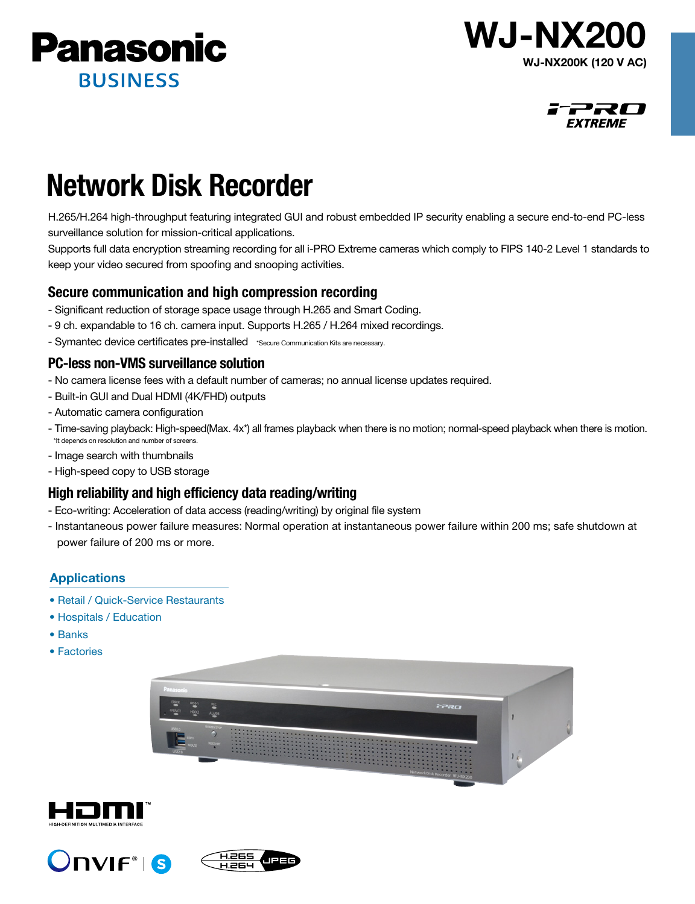





# Network Disk Recorder

H.265/H.264 high-throughput featuring integrated GUI and robust embedded IP security enabling a secure end-to-end PC-less surveillance solution for mission-critical applications.

Supports full data encryption streaming recording for all i-PRO Extreme cameras which comply to FIPS 140-2 Level 1 standards to keep your video secured from spoofing and snooping activities.

# Secure communication and high compression recording

- Significant reduction of storage space usage through H.265 and Smart Coding.
- 9 ch. expandable to 16 ch. camera input. Supports H.265 / H.264 mixed recordings.
- Symantec device certificates pre-installed \*Secure Communication Kits are necessary.

# PC-less non-VMS surveillance solution

- No camera license fees with a default number of cameras; no annual license updates required.
- Built-in GUI and Dual HDMI (4K/FHD) outputs
- Automatic camera configuration
- Time-saving playback: High-speed(Max. 4x\*) all frames playback when there is no motion; normal-speed playback when there is motion. \*It depends on resolution and number of screens.
- Image search with thumbnails
- High-speed copy to USB storage

# High reliability and high efficiency data reading/writing

- Eco-writing: Acceleration of data access (reading/writing) by original file system
- Instantaneous power failure measures: Normal operation at instantaneous power failure within 200 ms; safe shutdown at power failure of 200 ms or more.

# Applications

- Retail / Quick-Service Restaurants
- Hospitals / Education
- Banks
- Factories